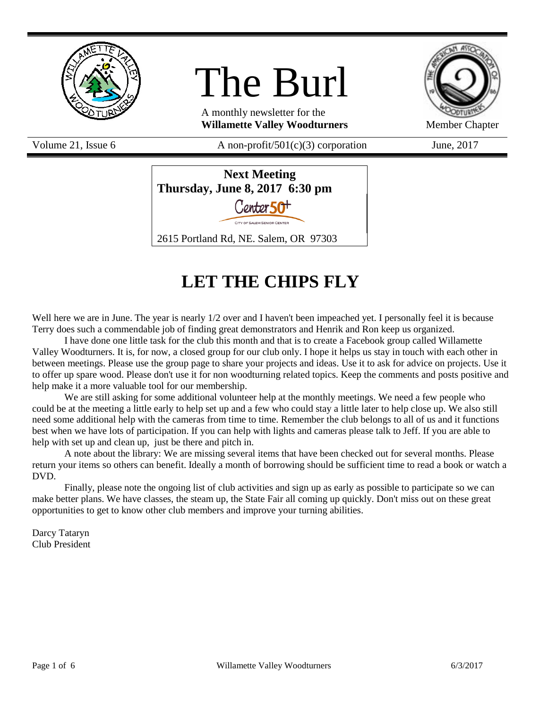

# The Burl

A monthly newsletter for the **Willamette Valley Woodturners** Member Chapter

Volume 21, Issue 6  $\alpha$  A non-profit/501(c)(3) corporation June, 2017



# **LET THE CHIPS FLY**

Well here we are in June. The year is nearly  $1/2$  over and I haven't been impeached yet. I personally feel it is because Terry does such a commendable job of finding great demonstrators and Henrik and Ron keep us organized.

I have done one little task for the club this month and that is to create a Facebook group called Willamette Valley Woodturners. It is, for now, a closed group for our club only. I hope it helps us stay in touch with each other in between meetings. Please use the group page to share your projects and ideas. Use it to ask for advice on projects. Use it to offer up spare wood. Please don't use it for non woodturning related topics. Keep the comments and posts positive and help make it a more valuable tool for our membership.

We are still asking for some additional volunteer help at the monthly meetings. We need a few people who could be at the meeting a little early to help set up and a few who could stay a little later to help close up. We also still need some additional help with the cameras from time to time. Remember the club belongs to all of us and it functions best when we have lots of participation. If you can help with lights and cameras please talk to Jeff. If you are able to help with set up and clean up, just be there and pitch in.

A note about the library: We are missing several items that have been checked out for several months. Please return your items so others can benefit. Ideally a month of borrowing should be sufficient time to read a book or watch a DVD.

Finally, please note the ongoing list of club activities and sign up as early as possible to participate so we can make better plans. We have classes, the steam up, the State Fair all coming up quickly. Don't miss out on these great opportunities to get to know other club members and improve your turning abilities.

Darcy Tataryn Club President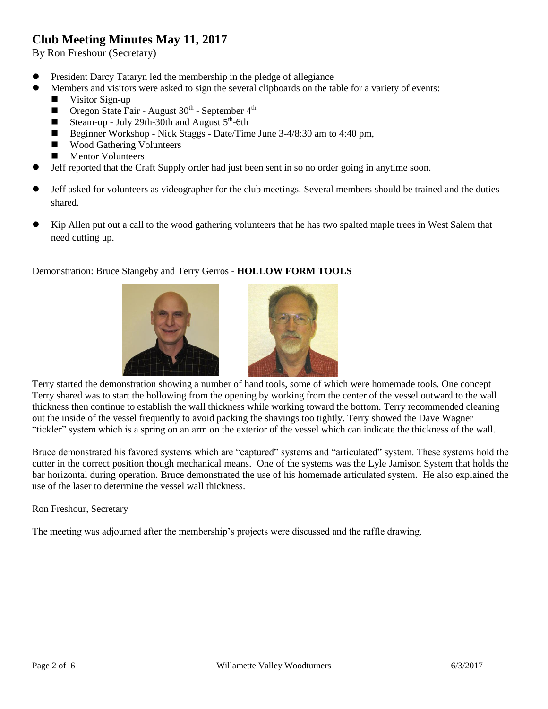## **Club Meeting Minutes May 11, 2017**

By Ron Freshour (Secretary)

- President Darcy Tataryn led the membership in the pledge of allegiance
	- Members and visitors were asked to sign the several clipboards on the table for a variety of events:
		- Visitor Sign-up
		- **Oregon State Fair August 30<sup>th</sup> September 4<sup>th</sup>**
		- Steam-up July 29th-30th and August  $5<sup>th</sup>$ -6th
		- Beginner Workshop Nick Staggs Date/Time June 3-4/8:30 am to 4:40 pm,
		- Wood Gathering Volunteers
		- **Mentor Volunteers**
- Jeff reported that the Craft Supply order had just been sent in so no order going in anytime soon.
- Jeff asked for volunteers as videographer for the club meetings. Several members should be trained and the duties shared.
- Kip Allen put out a call to the wood gathering volunteers that he has two spalted maple trees in West Salem that need cutting up.

#### Demonstration: Bruce Stangeby and Terry Gerros - **HOLLOW FORM TOOLS**





Terry started the demonstration showing a number of hand tools, some of which were homemade tools. One concept Terry shared was to start the hollowing from the opening by working from the center of the vessel outward to the wall thickness then continue to establish the wall thickness while working toward the bottom. Terry recommended cleaning out the inside of the vessel frequently to avoid packing the shavings too tightly. Terry showed the Dave Wagner "tickler" system which is a spring on an arm on the exterior of the vessel which can indicate the thickness of the wall.

Bruce demonstrated his favored systems which are "captured" systems and "articulated" system. These systems hold the cutter in the correct position though mechanical means. One of the systems was the Lyle Jamison System that holds the bar horizontal during operation. Bruce demonstrated the use of his homemade articulated system. He also explained the use of the laser to determine the vessel wall thickness.

Ron Freshour, Secretary

The meeting was adjourned after the membership's projects were discussed and the raffle drawing.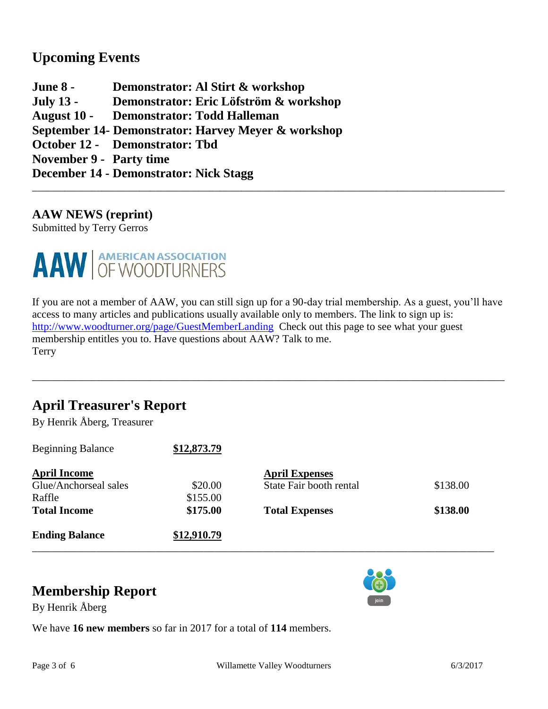# **Upcoming Events**

**June 8 - Demonstrator: Al Stirt & workshop July 13 - Demonstrator: Eric Löfström & workshop August 10 - Demonstrator: Todd Halleman September 14- Demonstrator: Harvey Meyer & workshop October 12 - Demonstrator: Tbd November 9 - Party time December 14 - Demonstrator: Nick Stagg**

#### **AAW NEWS (reprint)**

Submitted by Terry Gerros

AAW OF WOODTURNERS

If you are not a member of AAW, you can still sign up for a 90-day trial membership. As a guest, you'll have access to many articles and publications usually available only to members. The link to sign up is: <http://www.woodturner.org/page/GuestMemberLanding>Check out this page to see what your guest membership entitles you to. Have questions about AAW? Talk to me. Terry

\_\_\_\_\_\_\_\_\_\_\_\_\_\_\_\_\_\_\_\_\_\_\_\_\_\_\_\_\_\_\_\_\_\_\_\_\_\_\_\_\_\_\_\_\_\_\_\_\_\_\_\_\_\_\_\_\_\_\_\_\_\_\_\_\_\_\_\_\_\_\_\_\_\_\_\_\_\_\_\_\_\_\_\_\_\_\_\_

\_\_\_\_\_\_\_\_\_\_\_\_\_\_\_\_\_\_\_\_\_\_\_\_\_\_\_\_\_\_\_\_\_\_\_\_\_\_\_\_\_\_\_\_\_\_\_\_\_\_\_\_\_\_\_\_\_\_\_\_\_\_\_\_\_\_\_\_\_\_\_\_\_\_\_\_\_\_\_\_\_\_\_\_\_\_\_\_

# **April Treasurer's Report**

By Henrik Åberg, Treasurer Beginning Balance **\$12,873.79 April Income** Glue/Anchorseal sales \$20.00 Raffle \$155.00 **Total Income \$175.00 Ending Balance \$12,910.79 April Expenses** State Fair booth rental \$138.00 **Total Expenses \$138.00** \_\_\_\_\_\_\_\_\_\_\_\_\_\_\_\_\_\_\_\_\_\_\_\_\_\_\_\_\_\_\_\_\_\_\_\_\_\_\_\_\_\_\_\_\_\_\_\_\_\_\_\_\_\_\_\_\_\_\_\_\_\_\_\_\_\_\_\_\_\_\_\_\_\_\_\_\_\_\_\_\_\_\_\_\_\_

## **Membership Report**

By Henrik Åberg

We have **16 new members** so far in 2017 for a total of **114** members.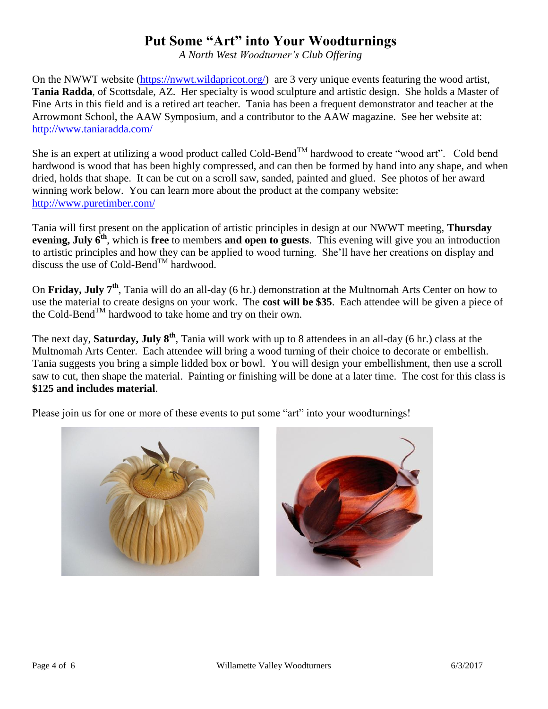# **Put Some "Art" into Your Woodturnings**

*A North West Woodturner's Club Offering*

On the NWWT website [\(https://nwwt.wildapricot.org/\)](https://nwwt.wildapricot.org/) are 3 very unique events featuring the wood artist, **Tania Radda**, of Scottsdale, AZ. Her specialty is wood sculpture and artistic design. She holds a Master of Fine Arts in this field and is a retired art teacher. Tania has been a frequent demonstrator and teacher at the Arrowmont School, the AAW Symposium, and a contributor to the AAW magazine. See her website at: <http://www.taniaradda.com/>

She is an expert at utilizing a wood product called Cold-Bend<sup>TM</sup> hardwood to create "wood art". Cold bend hardwood is wood that has been highly compressed, and can then be formed by hand into any shape, and when dried, holds that shape. It can be cut on a scroll saw, sanded, painted and glued. See photos of her award winning work below. You can learn more about the product at the company website: <http://www.puretimber.com/>

Tania will first present on the application of artistic principles in design at our NWWT meeting, **Thursday evening, July 6th**, which is **free** to members **and open to guests**. This evening will give you an introduction to artistic principles and how they can be applied to wood turning. She'll have her creations on display and discuss the use of Cold-Bend<sup>TM</sup> hardwood.

On **Friday, July 7th**, Tania will do an all-day (6 hr.) demonstration at the Multnomah Arts Center on how to use the material to create designs on your work. The **cost will be \$35**. Each attendee will be given a piece of the Cold-Bend<sup>TM</sup> hardwood to take home and try on their own.

The next day, **Saturday, July 8th**, Tania will work with up to 8 attendees in an all-day (6 hr.) class at the Multnomah Arts Center. Each attendee will bring a wood turning of their choice to decorate or embellish. Tania suggests you bring a simple lidded box or bowl. You will design your embellishment, then use a scroll saw to cut, then shape the material. Painting or finishing will be done at a later time. The cost for this class is **\$125 and includes material**.

Please join us for one or more of these events to put some "art" into your woodturnings!

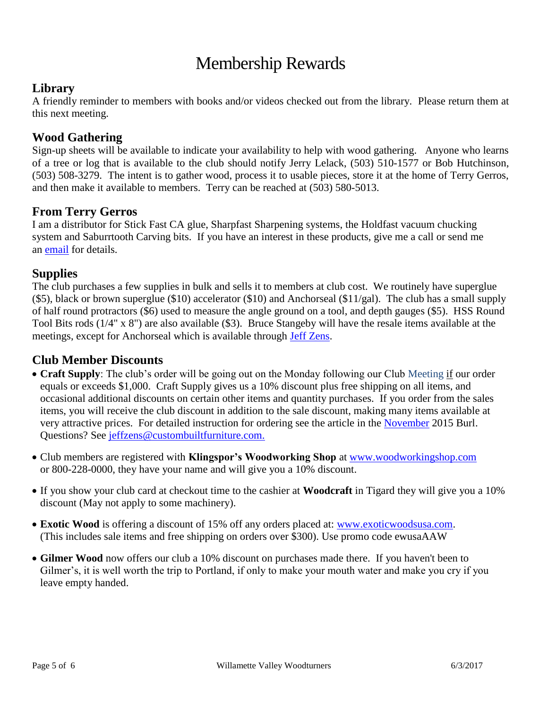# Membership Rewards

### **Library**

A friendly reminder to members with books and/or videos checked out from the library. Please return them at this next meeting.

#### **Wood Gathering**

Sign-up sheets will be available to indicate your availability to help with wood gathering. Anyone who learns of a tree or log that is available to the club should notify Jerry Lelack, (503) 510-1577 or Bob Hutchinson, (503) 508-3279. The intent is to gather wood, process it to usable pieces, store it at the home of Terry Gerros, and then make it available to members. Terry can be reached at (503) 580-5013.

#### **From Terry Gerros**

I am a distributor for Stick Fast CA glue, Sharpfast Sharpening systems, the Holdfast vacuum chucking system and Saburrtooth Carving bits. If you have an interest in these products, give me a call or send me an [email](mailto:gerrost@yahoo.com) for details.

#### **Supplies**

The club purchases a few supplies in bulk and sells it to members at club cost. We routinely have superglue  $(\$5)$ , black or brown superglue  $(\$10)$  accelerator  $(\$10)$  and Anchorseal  $(\$11/gal)$ . The club has a small supply of half round protractors (\$6) used to measure the angle ground on a tool, and depth gauges (\$5). HSS Round Tool Bits rods (1/4" x 8") are also available (\$3). Bruce Stangeby will have the resale items available at the meetings, except for Anchorseal which is available through [Jeff Zens.](mailto:jszens@custombuiltfurniture.com)

#### **Club Member Discounts**

- Craft Supply: The club's order will be going out on the Monday following our Club Meeting if our order equals or exceeds \$1,000. Craft Supply gives us a 10% discount plus free shipping on all items, and occasional additional discounts on certain other items and quantity purchases. If you order from the sales items, you will receive the club discount in addition to the sale discount, making many items available at very attractive prices. For detailed instruction for ordering see the article in the [November](http://www.willamettevalleywoodturners.com/newsletters/2015_11_WVW_Newsletter.pdf) 2015 Burl. Questions? See [jeffzens@custombuiltfurniture.com.](mailto:jeffzens@custombuiltfurniture.com.)
- Club members are registered with **Klingspor's Woodworking Shop** at [www.woodworkingshop.com](http://www.woodworkingshop.com/)  or 800-228-0000, they have your name and will give you a 10% discount.
- If you show your club card at checkout time to the cashier at **Woodcraft** in Tigard they will give you a 10% discount (May not apply to some machinery).
- **Exotic Wood** is offering a discount of 15% off any orders placed at: [www.exoticwoodsusa.com.](http://www.exoticwoodsusa.com/) (This includes sale items and free shipping on orders over \$300). Use promo code ewusaAAW
- **Gilmer Wood** now offers our club a 10% discount on purchases made there. If you haven't been to Gilmer's, it is well worth the trip to Portland, if only to make your mouth water and make you cry if you leave empty handed.